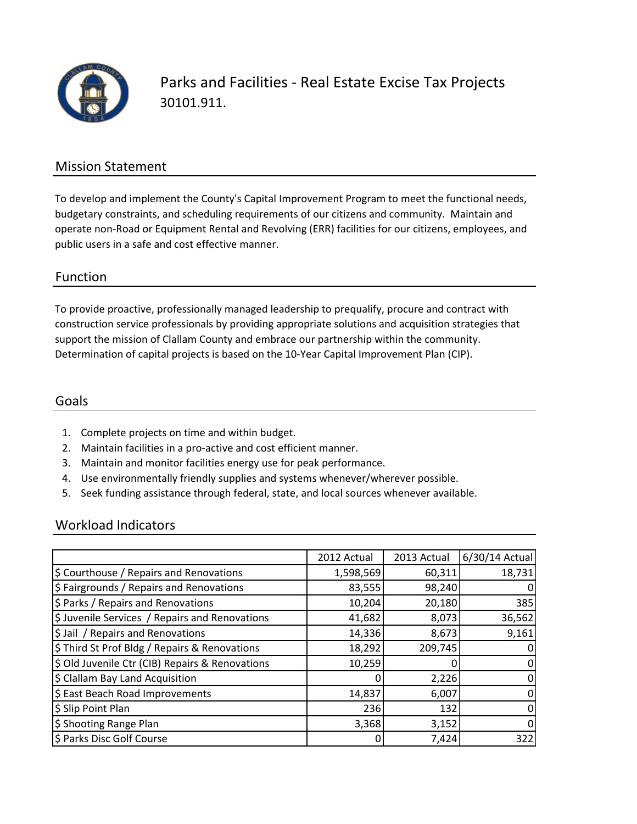

Parks and Facilities - Real Estate Excise Tax Projects 30101.911.

## Mission Statement

To develop and implement the County's Capital Improvement Program to meet the functional needs, budgetary constraints, and scheduling requirements of our citizens and community. Maintain and operate non-Road or Equipment Rental and Revolving (ERR) facilities for our citizens, employees, and public users in a safe and cost effective manner.

### Function

To provide proactive, professionally managed leadership to prequalify, procure and contract with construction service professionals by providing appropriate solutions and acquisition strategies that support the mission of Clallam County and embrace our partnership within the community. Determination of capital projects is based on the 10-Year Capital Improvement Plan (CIP).

#### Goals

- 1. Complete projects on time and within budget.
- 2. Maintain facilities in a pro-active and cost efficient manner.
- 3. Maintain and monitor facilities energy use for peak performance.
- 4. Use environmentally friendly supplies and systems whenever/wherever possible.
- 5. Seek funding assistance through federal, state, and local sources whenever available.

### Workload Indicators

|                                                 | 2012 Actual | 2013 Actual | 6/30/14 Actual |
|-------------------------------------------------|-------------|-------------|----------------|
| \$ Courthouse / Repairs and Renovations         | 1,598,569   | 60,311      | 18,731         |
| \$ Fairgrounds / Repairs and Renovations        | 83,555      | 98,240      |                |
| \$ Parks / Repairs and Renovations              | 10,204      | 20,180      | 385            |
| \$ Juvenile Services / Repairs and Renovations  | 41,682      | 8,073       | 36,562         |
| \$ Jail / Repairs and Renovations               | 14,336      | 8,673       | 9,161          |
| \$ Third St Prof Bldg / Repairs & Renovations   | 18,292      | 209,745     |                |
| \$ Old Juvenile Ctr (CIB) Repairs & Renovations | 10,259      |             | 0              |
| \$ Clallam Bay Land Acquisition                 |             | 2,226       | 0              |
| \$ East Beach Road Improvements                 | 14,837      | 6,007       | 0              |
| \$ Slip Point Plan                              | 236         | 132         | o              |
| \$ Shooting Range Plan                          | 3,368       | 3,152       | 0              |
| \$ Parks Disc Golf Course                       | 0           | 7,424       | 322            |